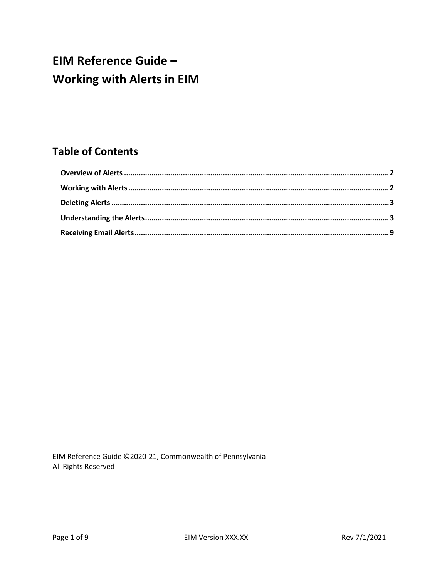# **EIM Reference Guide -Working with Alerts in EIM**

## **Table of Contents**

EIM Reference Guide ©2020-21, Commonwealth of Pennsylvania All Rights Reserved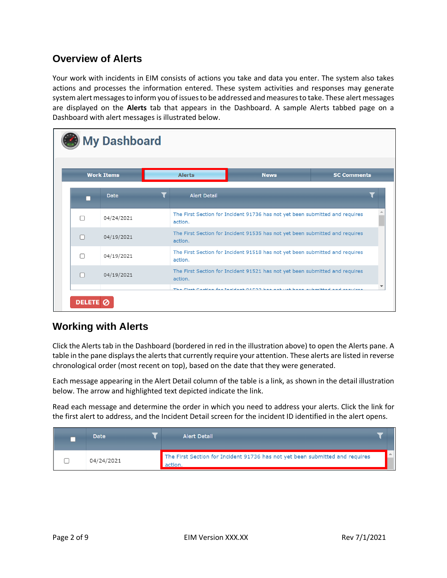### <span id="page-1-0"></span>**Overview of Alerts**

Your work with incidents in EIM consists of actions you take and data you enter. The system also takes actions and processes the information entered. These system activities and responses may generate system alert messages to inform you of issues to be addressed and measures to take. These alert messages are displayed on the **Alerts** tab that appears in the Dashboard. A sample Alerts tabbed page on a Dashboard with alert messages is illustrated below.

|   | <b>Work Items</b> | <b>Alerts</b>       | <b>News</b>                                                                  | <b>SC Comments</b> |
|---|-------------------|---------------------|------------------------------------------------------------------------------|--------------------|
|   | <b>Date</b>       | <b>Alert Detail</b> |                                                                              |                    |
| П | 04/24/2021        | action.             | The First Section for Incident 91736 has not yet been submitted and requires |                    |
| П | 04/19/2021        | action.             | The First Section for Incident 91535 has not yet been submitted and requires |                    |
| П | 04/19/2021        | action.             | The First Section for Incident 91518 has not yet been submitted and requires |                    |
|   | 04/19/2021        | action.             | The First Section for Incident 91521 has not yet been submitted and requires |                    |

#### <span id="page-1-1"></span>**Working with Alerts**

Click the Alerts tab in the Dashboard (bordered in red in the illustration above) to open the Alerts pane. A table in the pane displays the alerts that currently require your attention. These alerts are listed in reverse chronological order (most recent on top), based on the date that they were generated.

Each message appearing in the Alert Detail column of the table is a link, as shown in the detail illustration below. The arrow and highlighted text depicted indicate the link.

Read each message and determine the order in which you need to address your alerts. Click the link for the first alert to address, and the Incident Detail screen for the incident ID identified in the alert opens.

| <b>Date</b> | <b>Alert Detail</b>                                                                    |  |
|-------------|----------------------------------------------------------------------------------------|--|
| 04/24/2021  | The First Section for Incident 91736 has not yet been submitted and requires<br>action |  |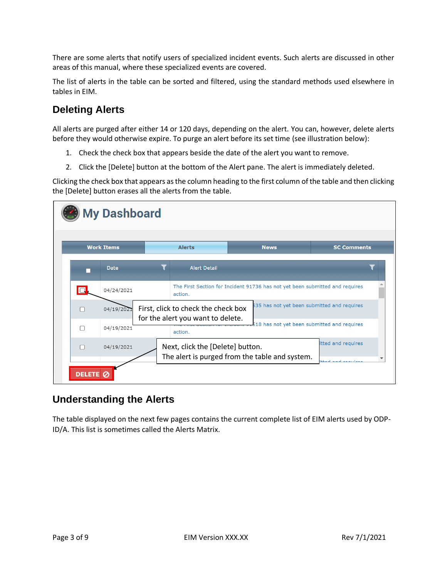There are some alerts that notify users of specialized incident events. Such alerts are discussed in other areas of this manual, where these specialized events are covered.

The list of alerts in the table can be sorted and filtered, using the standard methods used elsewhere in tables in EIM.

### <span id="page-2-0"></span>**Deleting Alerts**

All alerts are purged after either 14 or 120 days, depending on the alert. You can, however, delete alerts before they would otherwise expire. To purge an alert before its set time (see illustration below):

- 1. Check the check box that appears beside the date of the alert you want to remove.
- 2. Click the [Delete] button at the bottom of the Alert pane. The alert is immediately deleted.

Clicking the check box that appears as the column heading to the first column of the table and then clicking the [Delete] button erases all the alerts from the table.

| <b>My Dashboard</b> |                   |  |                                                                          |                                                                              |                                                |  |  |
|---------------------|-------------------|--|--------------------------------------------------------------------------|------------------------------------------------------------------------------|------------------------------------------------|--|--|
|                     | <b>Work Items</b> |  | <b>Alerts</b>                                                            | <b>News</b>                                                                  | <b>SC Comments</b>                             |  |  |
|                     | <b>Date</b>       |  | <b>Alert Detail</b>                                                      |                                                                              |                                                |  |  |
|                     | 04/24/2021        |  | action.                                                                  | The First Section for Incident 91736 has not yet been submitted and requires |                                                |  |  |
|                     | 04/19/2021        |  | First, click to check the check box<br>for the alert you want to delete. | 535 has not yet been submitted and requires                                  |                                                |  |  |
| П                   | 04/19/2021        |  | action.                                                                  | 518 has not yet been submitted and requires                                  |                                                |  |  |
|                     | 04/19/2021        |  | Next, click the [Delete] button.                                         | The alert is purged from the table and system.                               | itted and requires<br>والمرضوض المرضاض المرضطط |  |  |
| <b>DELETE</b>       |                   |  |                                                                          |                                                                              |                                                |  |  |

#### <span id="page-2-1"></span>**Understanding the Alerts**

The table displayed on the next few pages contains the current complete list of EIM alerts used by ODP-ID/A. This list is sometimes called the Alerts Matrix.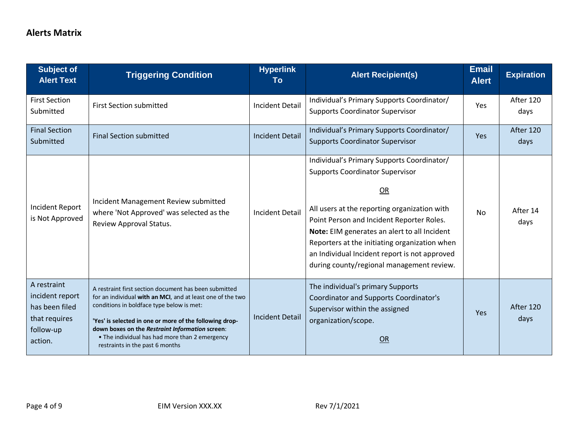#### **Alerts Matrix**

| <b>Subject of</b><br><b>Alert Text</b>                                                    | <b>Triggering Condition</b>                                                                                                                                                                                                                                                                                                                                         | <b>Hyperlink</b><br>To | <b>Alert Recipient(s)</b>                                                                                                                                                                                                                                                                                                                                                              | <b>Email</b><br><b>Alert</b> | <b>Expiration</b> |
|-------------------------------------------------------------------------------------------|---------------------------------------------------------------------------------------------------------------------------------------------------------------------------------------------------------------------------------------------------------------------------------------------------------------------------------------------------------------------|------------------------|----------------------------------------------------------------------------------------------------------------------------------------------------------------------------------------------------------------------------------------------------------------------------------------------------------------------------------------------------------------------------------------|------------------------------|-------------------|
| <b>First Section</b><br>Submitted                                                         | <b>First Section submitted</b>                                                                                                                                                                                                                                                                                                                                      | <b>Incident Detail</b> | Individual's Primary Supports Coordinator/<br><b>Supports Coordinator Supervisor</b>                                                                                                                                                                                                                                                                                                   | <b>Yes</b>                   | After 120<br>days |
| <b>Final Section</b><br>Submitted                                                         | <b>Final Section submitted</b>                                                                                                                                                                                                                                                                                                                                      | <b>Incident Detail</b> | Individual's Primary Supports Coordinator/<br><b>Supports Coordinator Supervisor</b>                                                                                                                                                                                                                                                                                                   | Yes                          | After 120<br>days |
| <b>Incident Report</b><br>is Not Approved                                                 | Incident Management Review submitted<br>where 'Not Approved' was selected as the<br>Review Approval Status.                                                                                                                                                                                                                                                         | <b>Incident Detail</b> | Individual's Primary Supports Coordinator/<br><b>Supports Coordinator Supervisor</b><br>OR<br>All users at the reporting organization with<br>Point Person and Incident Reporter Roles.<br>Note: EIM generates an alert to all Incident<br>Reporters at the initiating organization when<br>an Individual Incident report is not approved<br>during county/regional management review. | No.                          | After 14<br>days  |
| A restraint<br>incident report<br>has been filed<br>that requires<br>follow-up<br>action. | A restraint first section document has been submitted<br>for an individual with an MCI, and at least one of the two<br>conditions in boldface type below is met:<br>'Yes' is selected in one or more of the following drop-<br>down boxes on the Restraint Information screen:<br>• The individual has had more than 2 emergency<br>restraints in the past 6 months | <b>Incident Detail</b> | The individual's primary Supports<br><b>Coordinator and Supports Coordinator's</b><br>Supervisor within the assigned<br>organization/scope.<br>OR                                                                                                                                                                                                                                      | <b>Yes</b>                   | After 120<br>days |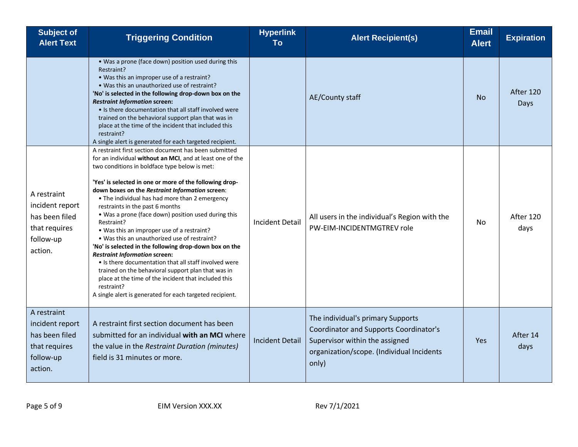| <b>Subject of</b><br><b>Alert Text</b>                                                    | <b>Triggering Condition</b>                                                                                                                                                                                                                                                                                                                                                                                                                                                                                                                                                                                                                                                                                                                                                                                                                                                                  | <b>Hyperlink</b><br>To | <b>Alert Recipient(s)</b>                                                                                                                                                  | <b>Email</b><br><b>Alert</b> | <b>Expiration</b> |
|-------------------------------------------------------------------------------------------|----------------------------------------------------------------------------------------------------------------------------------------------------------------------------------------------------------------------------------------------------------------------------------------------------------------------------------------------------------------------------------------------------------------------------------------------------------------------------------------------------------------------------------------------------------------------------------------------------------------------------------------------------------------------------------------------------------------------------------------------------------------------------------------------------------------------------------------------------------------------------------------------|------------------------|----------------------------------------------------------------------------------------------------------------------------------------------------------------------------|------------------------------|-------------------|
|                                                                                           | . Was a prone (face down) position used during this<br>Restraint?<br>• Was this an improper use of a restraint?<br>. Was this an unauthorized use of restraint?<br>'No' is selected in the following drop-down box on the<br><b>Restraint Information screen:</b><br>• Is there documentation that all staff involved were<br>trained on the behavioral support plan that was in<br>place at the time of the incident that included this<br>restraint?<br>A single alert is generated for each targeted recipient.                                                                                                                                                                                                                                                                                                                                                                           |                        | AE/County staff                                                                                                                                                            | <b>No</b>                    | After 120<br>Days |
| A restraint<br>incident report<br>has been filed<br>that requires<br>follow-up<br>action. | A restraint first section document has been submitted<br>for an individual without an MCI, and at least one of the<br>two conditions in boldface type below is met:<br>'Yes' is selected in one or more of the following drop-<br>down boxes on the Restraint Information screen:<br>• The individual has had more than 2 emergency<br>restraints in the past 6 months<br>. Was a prone (face down) position used during this<br>Restraint?<br>• Was this an improper use of a restraint?<br>. Was this an unauthorized use of restraint?<br>'No' is selected in the following drop-down box on the<br><b>Restraint Information screen:</b><br>• Is there documentation that all staff involved were<br>trained on the behavioral support plan that was in<br>place at the time of the incident that included this<br>restraint?<br>A single alert is generated for each targeted recipient. | <b>Incident Detail</b> | All users in the individual's Region with the<br>PW-EIM-INCIDENTMGTREV role                                                                                                | No                           | After 120<br>days |
| A restraint<br>incident report<br>has been filed<br>that requires<br>follow-up<br>action. | A restraint first section document has been<br>submitted for an individual with an MCI where<br>the value in the Restraint Duration (minutes)<br>field is 31 minutes or more.                                                                                                                                                                                                                                                                                                                                                                                                                                                                                                                                                                                                                                                                                                                | <b>Incident Detail</b> | The individual's primary Supports<br><b>Coordinator and Supports Coordinator's</b><br>Supervisor within the assigned<br>organization/scope. (Individual Incidents<br>only) | <b>Yes</b>                   | After 14<br>days  |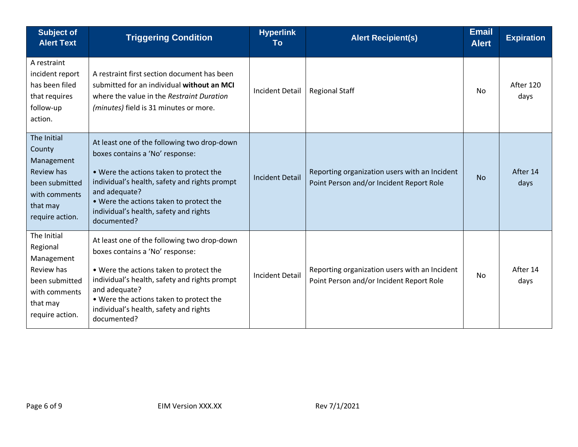| <b>Subject of</b><br><b>Alert Text</b>                                                                                | <b>Triggering Condition</b>                                                                                                                                                                                                                                                                     | <b>Hyperlink</b><br>To | <b>Alert Recipient(s)</b>                                                                 | <b>Email</b><br><b>Alert</b> | <b>Expiration</b> |
|-----------------------------------------------------------------------------------------------------------------------|-------------------------------------------------------------------------------------------------------------------------------------------------------------------------------------------------------------------------------------------------------------------------------------------------|------------------------|-------------------------------------------------------------------------------------------|------------------------------|-------------------|
| A restraint<br>incident report<br>has been filed<br>that requires<br>follow-up<br>action.                             | A restraint first section document has been<br>submitted for an individual without an MCI<br>where the value in the Restraint Duration<br>(minutes) field is 31 minutes or more.                                                                                                                | <b>Incident Detail</b> | <b>Regional Staff</b>                                                                     | <b>No</b>                    | After 120<br>days |
| The Initial<br>County<br>Management<br>Review has<br>been submitted<br>with comments<br>that may<br>require action.   | At least one of the following two drop-down<br>boxes contains a 'No' response:<br>. Were the actions taken to protect the<br>individual's health, safety and rights prompt<br>and adequate?<br>. Were the actions taken to protect the<br>individual's health, safety and rights<br>documented? | <b>Incident Detail</b> | Reporting organization users with an Incident<br>Point Person and/or Incident Report Role | <b>No</b>                    | After 14<br>days  |
| The Initial<br>Regional<br>Management<br>Review has<br>been submitted<br>with comments<br>that may<br>require action. | At least one of the following two drop-down<br>boxes contains a 'No' response:<br>. Were the actions taken to protect the<br>individual's health, safety and rights prompt<br>and adequate?<br>• Were the actions taken to protect the<br>individual's health, safety and rights<br>documented? | <b>Incident Detail</b> | Reporting organization users with an Incident<br>Point Person and/or Incident Report Role | No                           | After 14<br>days  |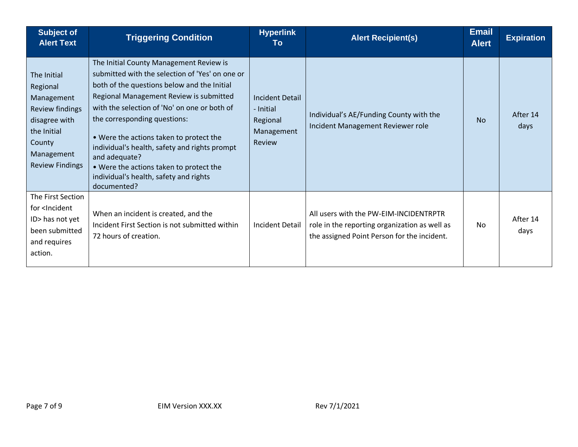| <b>Subject of</b><br><b>Alert Text</b>                                                                                                     | <b>Triggering Condition</b>                                                                                                                                                                                                                                                                                                                                                                                                                                                           | <b>Hyperlink</b><br>To                                                  | <b>Alert Recipient(s)</b>                                                                                                              | <b>Email</b><br><b>Alert</b> | <b>Expiration</b> |
|--------------------------------------------------------------------------------------------------------------------------------------------|---------------------------------------------------------------------------------------------------------------------------------------------------------------------------------------------------------------------------------------------------------------------------------------------------------------------------------------------------------------------------------------------------------------------------------------------------------------------------------------|-------------------------------------------------------------------------|----------------------------------------------------------------------------------------------------------------------------------------|------------------------------|-------------------|
| The Initial<br>Regional<br>Management<br>Review findings<br>disagree with<br>the Initial<br>County<br>Management<br><b>Review Findings</b> | The Initial County Management Review is<br>submitted with the selection of 'Yes' on one or<br>both of the questions below and the Initial<br>Regional Management Review is submitted<br>with the selection of 'No' on one or both of<br>the corresponding questions:<br>. Were the actions taken to protect the<br>individual's health, safety and rights prompt<br>and adequate?<br>. Were the actions taken to protect the<br>individual's health, safety and rights<br>documented? | <b>Incident Detail</b><br>- Initial<br>Regional<br>Management<br>Review | Individual's AE/Funding County with the<br>Incident Management Reviewer role                                                           | <b>No</b>                    | After 14<br>days  |
| The First Section<br>for <lncident<br>ID&gt; has not yet<br/>been submitted<br/>and requires<br/>action.</lncident<br>                     | When an incident is created, and the<br>Incident First Section is not submitted within<br>72 hours of creation.                                                                                                                                                                                                                                                                                                                                                                       | Incident Detail                                                         | All users with the PW-EIM-INCIDENTRPTR<br>role in the reporting organization as well as<br>the assigned Point Person for the incident. | No.                          | After 14<br>days  |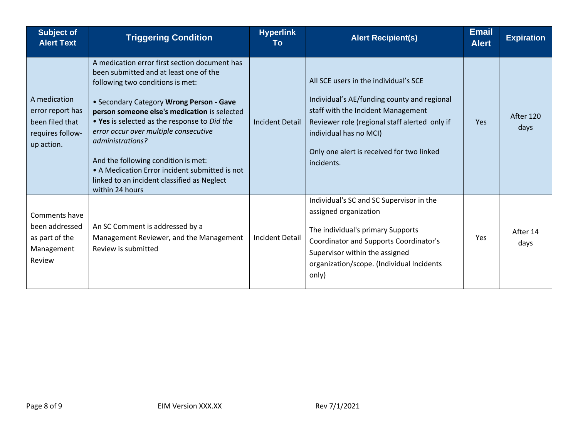| <b>Subject of</b><br><b>Alert Text</b>                                                | <b>Triggering Condition</b>                                                                                                                                                                                                                                                                                                                                                                                                                                                                     | <b>Hyperlink</b><br>Тο | <b>Alert Recipient(s)</b>                                                                                                                                                                                                                                        | <b>Email</b><br><b>Alert</b> | <b>Expiration</b> |
|---------------------------------------------------------------------------------------|-------------------------------------------------------------------------------------------------------------------------------------------------------------------------------------------------------------------------------------------------------------------------------------------------------------------------------------------------------------------------------------------------------------------------------------------------------------------------------------------------|------------------------|------------------------------------------------------------------------------------------------------------------------------------------------------------------------------------------------------------------------------------------------------------------|------------------------------|-------------------|
| A medication<br>error report has<br>been filed that<br>requires follow-<br>up action. | A medication error first section document has<br>been submitted and at least one of the<br>following two conditions is met:<br>• Secondary Category Wrong Person - Gave<br>person someone else's medication is selected<br>. Yes is selected as the response to Did the<br>error occur over multiple consecutive<br>administrations?<br>And the following condition is met:<br>• A Medication Error incident submitted is not<br>linked to an incident classified as Neglect<br>within 24 hours | <b>Incident Detail</b> | All SCE users in the individual's SCE<br>Individual's AE/funding county and regional<br>staff with the Incident Management<br>Reviewer role (regional staff alerted only if<br>individual has no MCI)<br>Only one alert is received for two linked<br>incidents. | Yes                          | After 120<br>days |
| Comments have<br>been addressed<br>as part of the<br>Management<br>Review             | An SC Comment is addressed by a<br>Management Reviewer, and the Management<br>Review is submitted                                                                                                                                                                                                                                                                                                                                                                                               | <b>Incident Detail</b> | Individual's SC and SC Supervisor in the<br>assigned organization<br>The individual's primary Supports<br>Coordinator and Supports Coordinator's<br>Supervisor within the assigned<br>organization/scope. (Individual Incidents<br>only)                         | Yes                          | After 14<br>days  |